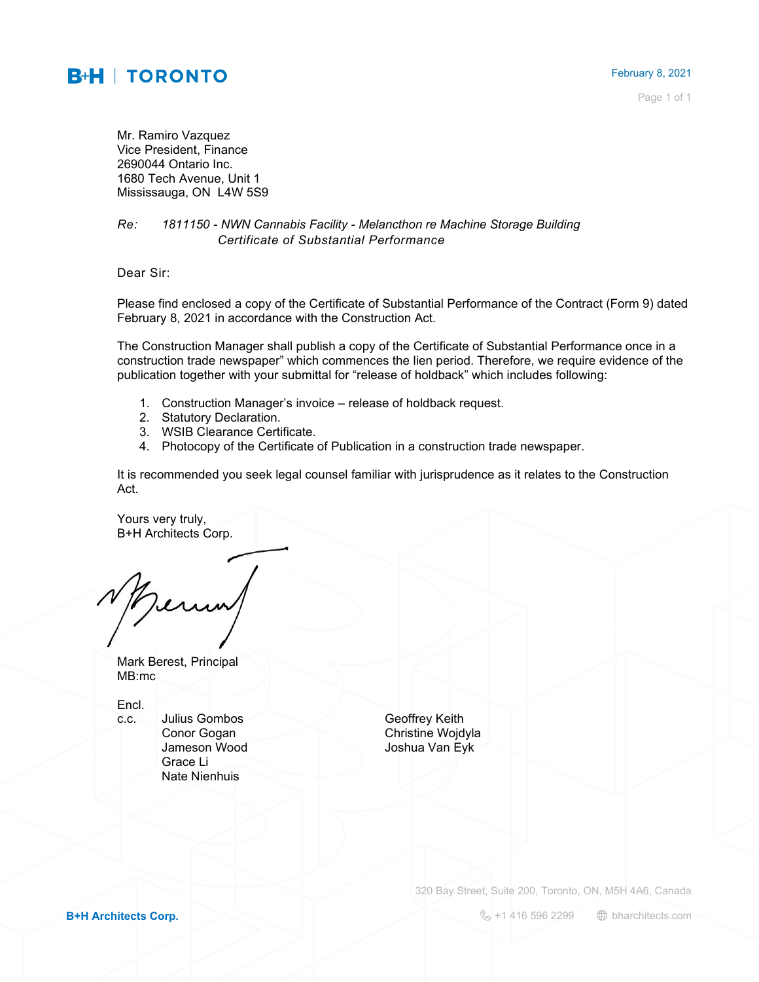## **B+H | TORONTO**

Page 1 of 1

Mr. Ramiro Vazquez Vice President, Finance 2690044 Ontario Inc. 1680 Tech Avenue, Unit 1 Mississauga, ON L4W 5S9

## *Re: 1811150 - NWN Cannabis Facility - Melancthon re Machine Storage Building Certificate of Substantial Performance*

Dear Sir:

Please find enclosed a copy of the Certificate of Substantial Performance of the Contract (Form 9) dated February 8, 2021 in accordance with the Construction Act.

The Construction Manager shall publish a copy of the Certificate of Substantial Performance once in a construction trade newspaper" which commences the lien period. Therefore, we require evidence of the publication together with your submittal for "release of holdback" which includes following:

- 1. Construction Manager's invoice release of holdback request.
- 2. Statutory Declaration.
- 3. WSIB Clearance Certificate.
- 4. Photocopy of the Certificate of Publication in a construction trade newspaper.

It is recommended you seek legal counsel familiar with jurisprudence as it relates to the Construction Act.

Yours very truly, B+H Architects Corp.

Mark Berest, Principal MB:mc

Encl.

c.c. Julius Gombos Geoffrey Keith Grace Li Nate Nienhuis

**Conor Gogan** Christine Wojdyla Jameson Wood Joshua Van Eyk